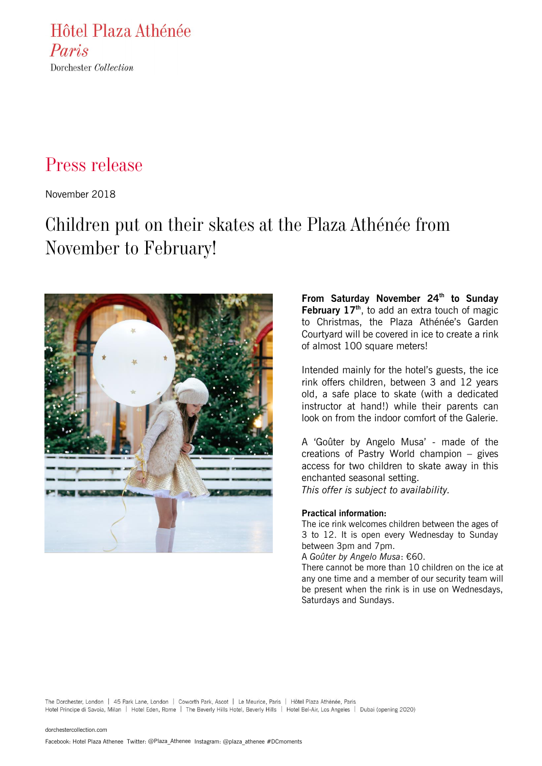Hôtel Plaza Athénée Paris Dorchester Collection

## Press release

November 2018

# Children put on their skates at the Plaza Athénée from November to February!



**From Saturday November 24th to Sunday February 17th**, to add an extra touch of magic to Christmas, the Plaza Athénée's Garden Courtyard will be covered in ice to create a rink of almost 100 square meters!

Intended mainly for the hotel's guests, the ice rink offers children, between 3 and 12 years old, a safe place to skate (with a dedicated instructor at hand!) while their parents can look on from the indoor comfort of the Galerie.

A 'Goûter by Angelo Musa' - made of the creations of Pastry World champion – gives access for two children to skate away in this enchanted seasonal setting. *This offer is subject to availability.*

## **Practical information:**

The ice rink welcomes children between the ages of 3 to 12. It is open every Wednesday to Sunday between 3pm and 7pm.

A *Goûter by Angelo Musa*: €60.

There cannot be more than 10 children on the ice at any one time and a member of our security team will be present when the rink is in use on Wednesdays, Saturdays and Sundays.

The Dorchester, London | 45 Park Lane, London | Coworth Park, Ascot | Le Meurice, Paris | Hôtel Plaza Athénée, Paris Hotel Principe di Savoia, Milan | Hotel Eden, Rome | The Beverly Hills Hotel, Beverly Hills | Hotel Bel-Air, Los Angeles | Dubai (opening 2020)